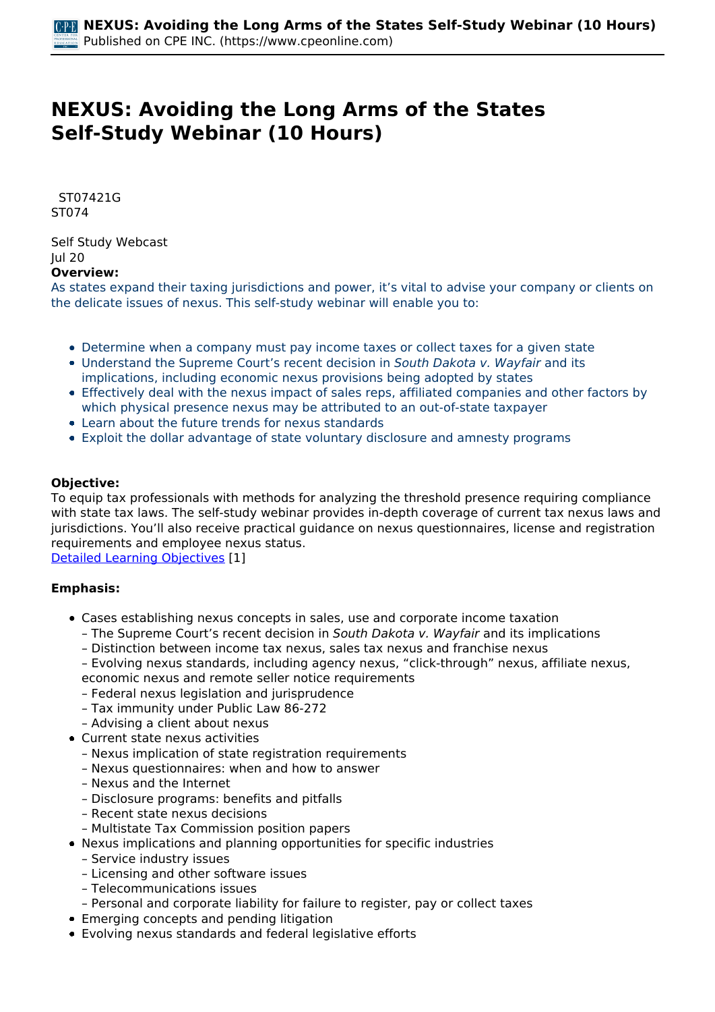# **NEXUS: Avoiding the Long Arms of the States Self-Study Webinar (10 Hours)**

 *ST07421G ST074* 

*Self Study Webcast Jul 20*  **Overview:** 

*As states expand their taxing jurisdictions and power, it's vital to advise your company or clients on the delicate issues of nexus. This self-study webinar will enable you to:*

- *Determine when a company must pay income taxes or collect taxes for a given state*
- *Understand the Supreme Court's recent decision in South Dakota v. Wayfair and its implications, including economic nexus provisions being adopted by states*
- *Effectively deal with the nexus impact of sales reps, affiliated companies and other factors by which physical presence nexus may be attributed to an out-of-state taxpayer*
- *Learn about the future trends for nexus standards*
- *Exploit the dollar advantage of state voluntary disclosure and amnesty programs*

### **Objective:**

*To equip tax professionals with methods for analyzing the threshold presence requiring compliance with state tax laws. The self-study webinar provides in-depth coverage of current tax nexus laws and jurisdictions. You'll also receive practical guidance on nexus questionnaires, license and registration requirements and employee nexus status.*

*[Detailed Learning Objectives](https://www.cpeonline.com/JavaScript:showObjectivesPopup();) [1]*

### **Emphasis:**

- *Cases establishing nexus concepts in sales, use and corporate income taxation*
	- *The Supreme Court's recent decision in South Dakota v. Wayfair and its implications*
	- *Distinction between income tax nexus, sales tax nexus and franchise nexus*
	- *Evolving nexus standards, including agency nexus, "click-through" nexus, affiliate nexus,*
	- *economic nexus and remote seller notice requirements*
	- *Federal nexus legislation and jurisprudence*
	- *Tax immunity under Public Law 86-272*
	- *Advising a client about nexus*
- *Current state nexus activities*
	- *Nexus implication of state registration requirements*
	- *Nexus questionnaires: when and how to answer*
	- *Nexus and the Internet*
	- *Disclosure programs: benefits and pitfalls*
	- *Recent state nexus decisions*
	- *Multistate Tax Commission position papers*
- *Nexus implications and planning opportunities for specific industries*
	- *Service industry issues*
	- *Licensing and other software issues*
	- *Telecommunications issues*
	- *Personal and corporate liability for failure to register, pay or collect taxes*
- *Emerging concepts and pending litigation*
- *Evolving nexus standards and federal legislative efforts*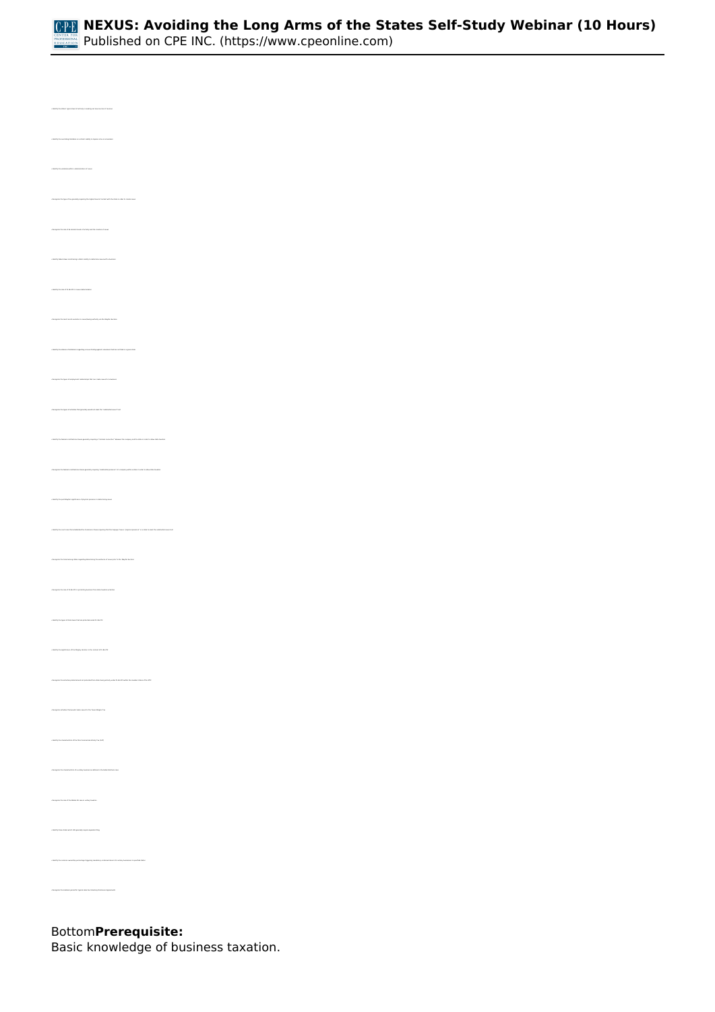

*• Identify the states' typical level of activity in seeking out new sources of revenue • Identify the variables within a determination of nexus • Recognize the type of tax generally requiring the highest level of contact with the state in order to create nexus • Identify the role of PL 86-272 in nexus determination • Recognize the most recent evolution in nexus/taxing authority via the Wayfair decision • Recognize the types of employment relationships that can create nexus for a business • Recognize the types of activities that generally would not meet the "substantial nexus" test • Identify the federal constitutional clause generally requiring a "minimal connection" between the company and the state in order to allow state taxation • Identify the court case that established the Commerce Clause requiring that the taxpayer have a "physical presence" in a state to meet the substantial nexus test • Recognize the trend among states regarding determining the existence of nexus prior to the Wayfair decision • Recognize the role of PL 86-272 in protecting business from state taxation activities • Identify the types of state taxes that are protected under PL 86-272 • Identify the significance of the Wrigley decision in the context of PL 86-272 • Recognize the activities protected and not protected from state taxing activity under PL 86-272 within the member states of the MTC • Recognize activities that would create nexus for the Texas Margins Tax • Identify the characteristics of the Ohio Commercial Activity Tax (CAT) • Recognize the characteristics of a unitary business as defined in the Butler Brothers case • Recognize the role of the Mobile Oil case in unitary taxation • Identify those states which still generally require separate filing • Recognize the lookback period for typical sales tax Voluntary Disclosure Agreements*

*Bottom***Prerequisite:** 

*Basic knowledge of business taxation.*